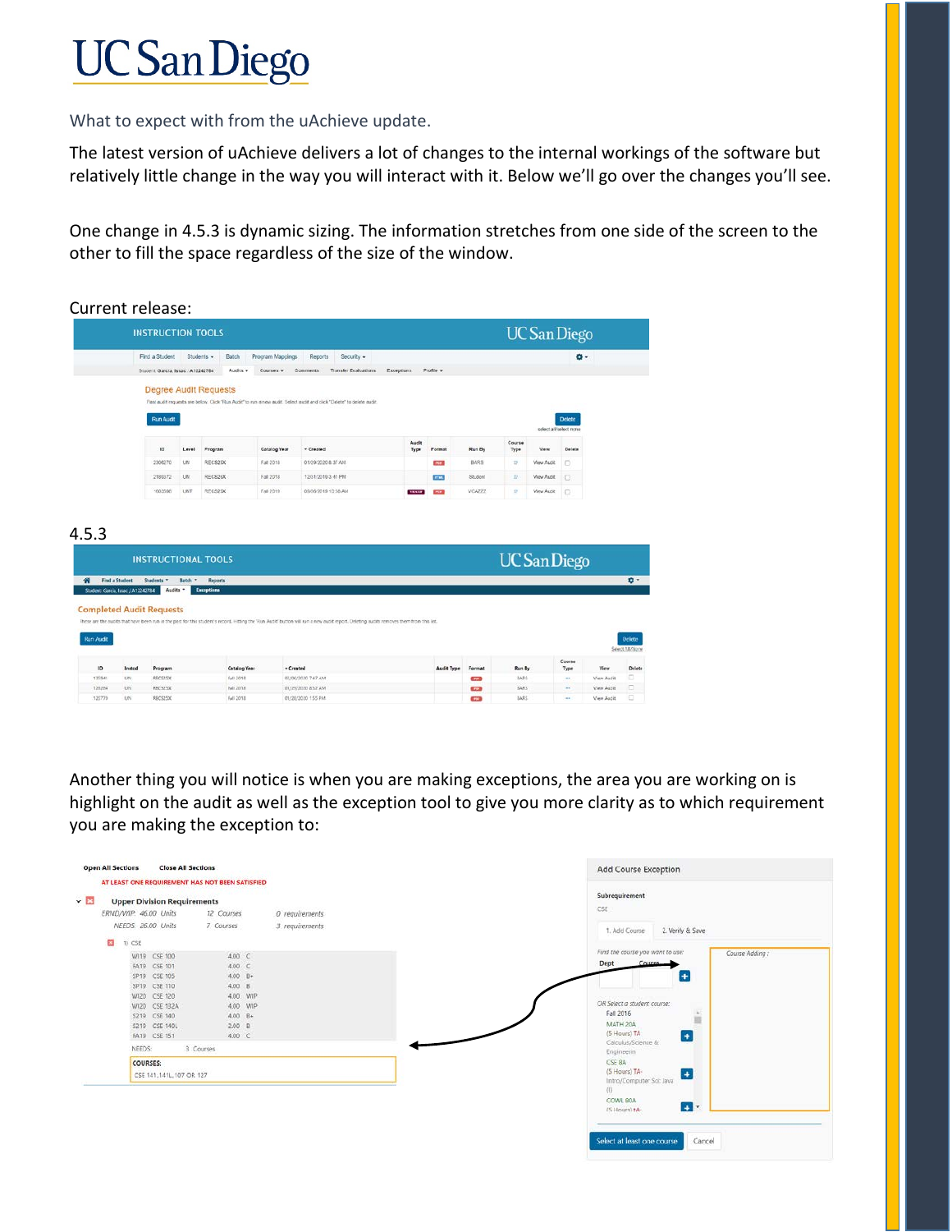## **UC San Diego**

What to expect with from the uAchieve update.

The latest version of uAchieve delivers a lot of changes to the internal workings of the software but relatively little change in the way you will interact with it. Below we'll go over the changes you'll see.

One change in 4.5.3 is dynamic sizing. The information stretches from one side of the screen to the other to fill the space regardless of the size of the window.

|                                           | <b>INSTRUCTION TOOLS</b>                                                                                                            |                                                                                    |                              |              |                                                                                                                                                                                         |                         |                   |             |                   | <b>UC</b> San Diego    |                |                        |  |
|-------------------------------------------|-------------------------------------------------------------------------------------------------------------------------------------|------------------------------------------------------------------------------------|------------------------------|--------------|-----------------------------------------------------------------------------------------------------------------------------------------------------------------------------------------|-------------------------|-------------------|-------------|-------------------|------------------------|----------------|------------------------|--|
|                                           |                                                                                                                                     | Find a Student<br>Students -<br>Program Mappings<br>Reports<br>Security -<br>Batch |                              |              |                                                                                                                                                                                         |                         |                   |             | ۰ ۵               |                        |                |                        |  |
|                                           | Student, García, Issac / A12242784                                                                                                  |                                                                                    | Audits =                     | Courses v    | Transfer Evaluations<br><b>Comments</b>                                                                                                                                                 | Exceptions:             | Profile -         |             |                   |                        |                |                        |  |
|                                           |                                                                                                                                     |                                                                                    | <b>Degree Audit Requests</b> |              | Past audit requests are below. Click "Run Audit" to nin a new audit. Select audit and click "Delete" to delete audit.                                                                   |                         |                   |             |                   |                        |                |                        |  |
|                                           | <b>Run Audit</b>                                                                                                                    |                                                                                    |                              |              |                                                                                                                                                                                         |                         |                   |             |                   | select all'select none | <b>Delete</b>  |                        |  |
|                                           | 1D                                                                                                                                  | Level                                                                              | Program                      | Catalog Year | - Crested                                                                                                                                                                               | Audit<br>$T_{\rm F}$ pe | Format            | Run By      | Course<br>$7$ ype | View                   | Delete         |                        |  |
|                                           | 2306270                                                                                                                             | LIN                                                                                | RECS25X                      | Fat 2018     | 01/29/2020 & 37 AM                                                                                                                                                                      |                         | <b>CASE</b>       | <b>BARS</b> | P.                | View Audit             | D              |                        |  |
|                                           | 2189372                                                                                                                             | UN                                                                                 | RECS26X                      | Fall 2018    | 12/31/2019 3:41 PM                                                                                                                                                                      |                         | arrat.            | Student     | 赵                 | <b>View Audit</b>      | $\Box$         |                        |  |
|                                           | 1603598                                                                                                                             | LINT                                                                               | RECS25X                      | Fall 2019    | 09/06/2019 10:58 AM                                                                                                                                                                     | <b>WANTED</b>           | <b>PORT</b>       | VCA777      | 9                 | View Aust              | $\circ$        |                        |  |
|                                           |                                                                                                                                     |                                                                                    |                              |              |                                                                                                                                                                                         |                         |                   |             |                   |                        |                |                        |  |
|                                           | <b>INSTRUCTIONAL TOOLS</b><br>Find a Student<br>Students =<br>Student: Garcia, Issac / A12242784<br><b>Completed Audit Requests</b> | Batch =<br>Audits .                                                                | Reports<br>Exceptions        |              | These are the audits that have been run in the past for this student's record. Hitting the 'Run Audit' button will run a new audit report. Deleting audits removes them from this list. |                         |                   |             |                   | <b>UC</b> San Diego    |                |                        |  |
|                                           | Insted<br>Program                                                                                                                   |                                                                                    | <b>Catalog Year</b>          | $-$ Created  |                                                                                                                                                                                         |                         | <b>Audit Type</b> | Format      | Run By            |                        | Course<br>Type | Select ABCA206<br>View |  |
| 4.5.3<br><b>Run Audit</b><br>10<br>135941 | RECS25X<br><b>UN</b>                                                                                                                |                                                                                    | Fall 2018                    |              | 02/06/2030 7:47 AM                                                                                                                                                                      |                         |                   | <b>Call</b> | BARS.             |                        | 148            | View Audit             |  |

Another thing you will notice is when you are making exceptions, the area you are working on is highlight on the audit as well as the exception tool to give you more clarity as to which requirement you are making the exception to:

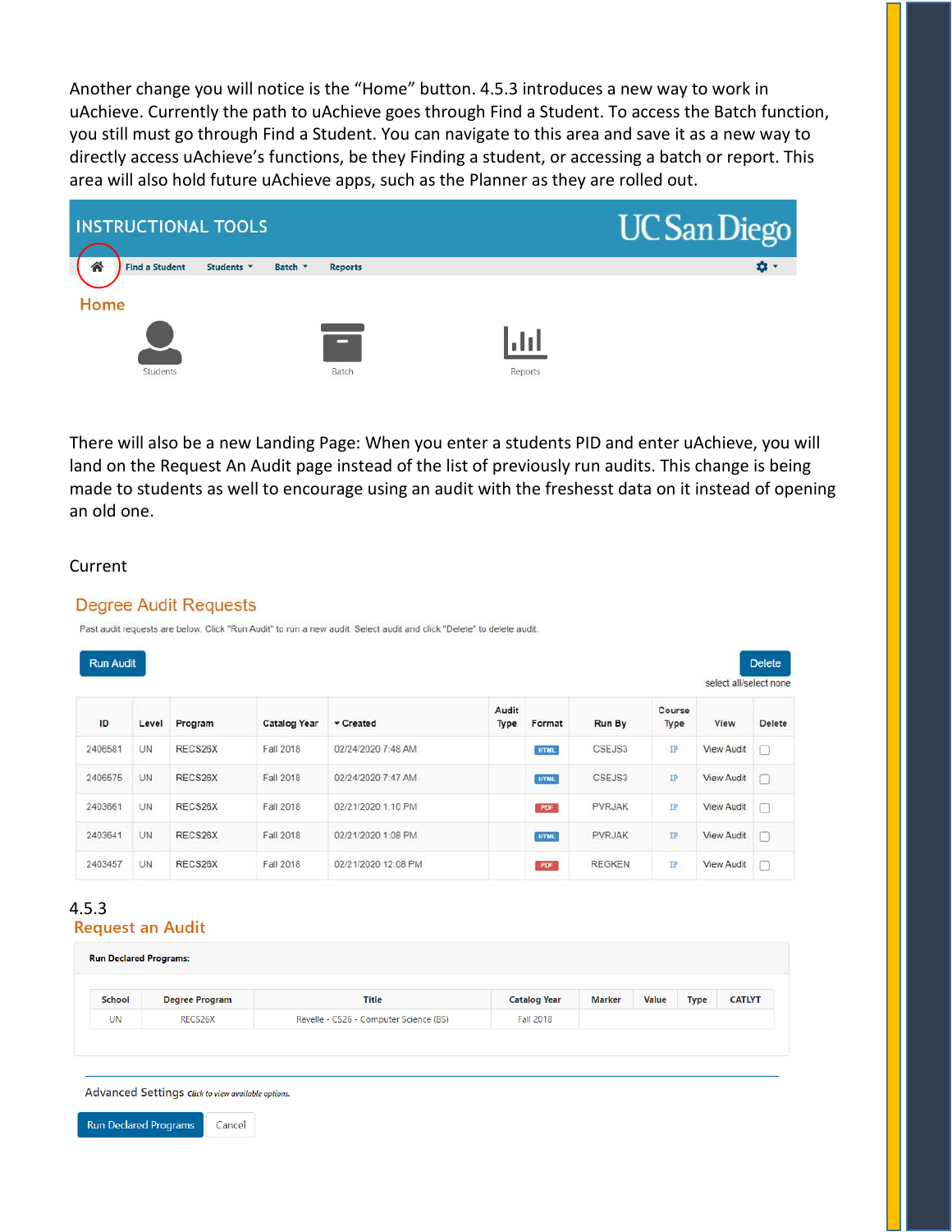Another change you will notice is the "Home" button. 4.5.3 introduces a new way to work in uAchieve. Currently the path to uAchieve goes through Find a Student. To access the Batch function, you still must go through Find a Student. You can navigate to this area and save it as a new way to directly access uAchieve's functions, be they Finding a student, or accessing a batch or report. This area will also hold future uAchieve apps, such as the Planner as they are rolled out.



There will also be a new Landing Page: When you enter a students PID and enter uAchieve, you will land on the Request An Audit page instead of the list of previously run audits. This change is being made to students as well to encourage using an audit with the freshesst data on it instead of opening an old one.

## Current

## **Degree Audit Requests**

Past audit requests are below. Click "Run Audit" to run a new audit. Select audit and click "Delete" to delete audit.

|         | <b>Run Audit</b> |                        |                     |                     |                      |             |               |                |                   | <b>Delete</b> |
|---------|------------------|------------------------|---------------------|---------------------|----------------------|-------------|---------------|----------------|-------------------|---------------|
|         |                  | select all/select none |                     |                     |                      |             |               |                |                   |               |
| ID      | Level            | Program                | <b>Catalog Year</b> | Created             | Audit<br><b>Type</b> | Format      | <b>Run By</b> | Course<br>Type | View              | <b>Delete</b> |
| 2406581 | UN               | RECS26X                | <b>Fall 2018</b>    | 02/24/2020 7:48 AM  |                      | <b>HTML</b> | CSEJS3        | $\mathbb{P}$   | <b>View Audit</b> | ⊓             |
| 2406575 | <b>UN</b>        | RECS26X                | Fall 2018           | 02/24/2020 7:47 AM  |                      | <b>HTML</b> | CSEJS3        | $_{\rm IP}$    | <b>View Audit</b> | п             |
| 2403661 | <b>UN</b>        | RECS26X                | Fall 2018           | 02/21/2020 1:10 PM  |                      | PDF         | <b>PVRJAK</b> | $_{\rm IP}$    | <b>View Audit</b> | П             |
| 2403641 | <b>UN</b>        | RECS26X                | <b>Fall 2018</b>    | 02/21/2020 1:08 PM  |                      | <b>HTML</b> | <b>PVRJAK</b> | $\mathbb{P}$   | <b>View Audit</b> | ⊓             |
| 2403457 | <b>UN</b>        | RECS26X                | Fall 2018           | 02/21/2020 12:08 PM |                      | PDF         | <b>REGKEN</b> | IP             | <b>View Audit</b> | п             |

## 4.5.3**Request an Audit**

| <b>Run Declared Programs:</b> |                       |                                        |                     |        |              |      |               |  |  |
|-------------------------------|-----------------------|----------------------------------------|---------------------|--------|--------------|------|---------------|--|--|
| School                        | <b>Degree Program</b> | Title                                  | <b>Catalog Year</b> | Marker | <b>Value</b> | Type | <b>CATLYT</b> |  |  |
| <b>UN</b>                     | RECS26X               | Revelle - CS26 - Computer Science (BS) | <b>Fall 2018</b>    |        |              |      |               |  |  |

Advanced Settings Click to view available options.

**Run Declared Programs** 

Cancel